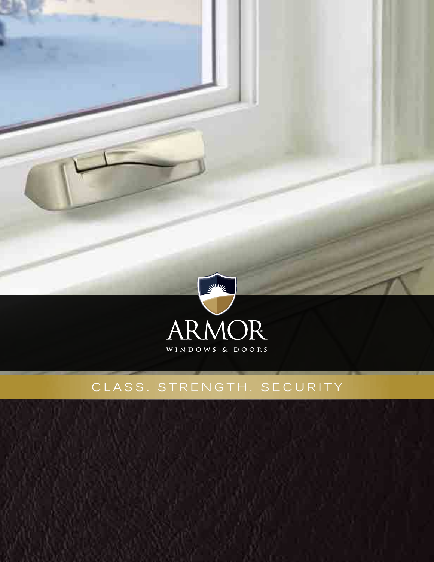

## CLASS. STRENGTH. SECURITY